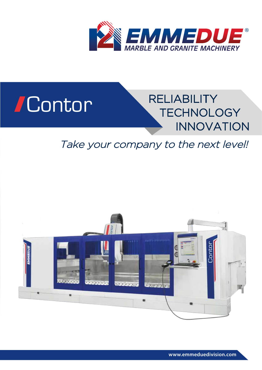

# Contor



# Take your company to the next level!



**www.emmeduedivision.com**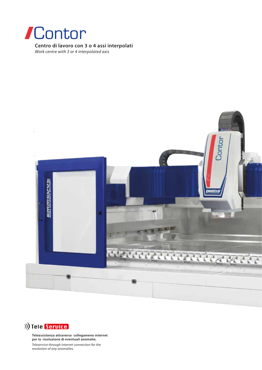

**Centro di lavoro con 3 o 4 assi interpolati**

*Work centre with 3 or 4 interpolated axis*





**Teleassistenza attraverso collegameno internet per la risoluzione di eventuali anomalie.**

*Teleservice through internet connection for the resolution of any anomalies.*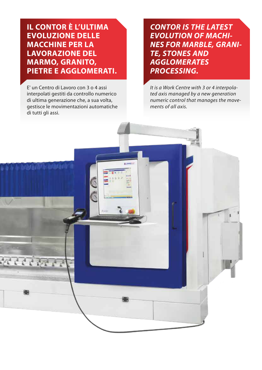**IL CONTOR È L'ULTIMA EVOLUZIONE DELLE MACCHINE PER LA LAVORAZIONE DEL MARMO, GRANITO, PIETRE E AGGLOMERATI.**

E' un Centro di Lavoro con 3 o 4 assi interpolati gestiti da controllo numerico di ultima generazione che, a sua volta, gestisce le movimentazioni automatiche di tutti gli assi.

*CONTOR IS THE LATEST EVOLUTION OF MACHI-NES FOR MARBLE, GRANI-TE, STONES AND AGGLOMERATES PROCESSING.*

*It is a Work Centre with 3 or 4 interpolated axis managed by a new generation numeric control that manages the movements of all axis.*

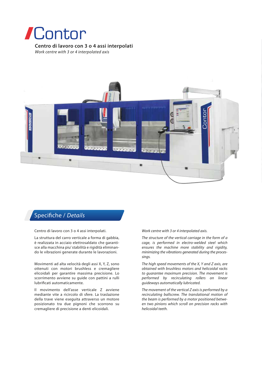

# **Centro di lavoro con 3 o 4 assi interpolati**

*Work centre with 3 or 4 interpolated axis*



## Specifiche / Details

Centro di lavoro con 3 o 4 assi interpolati.

La struttura del carro verticale a forma di gabbia, è realizzata in acciaio elettrosaldato che garantisce alla macchina piu' stabilità e rigidità eliminando le vibrazioni generate durante le lavorazioni.

Movimenti ad alta velocità degli assi X, Y, Z, sono ottenuti con motori brushless e cremagliere elicoidali per garantire massima precisione. Lo scorrimento avviene su guide con pattini a rulli lubrificati automaticamente.

Il movimento dell'asse verticale Z avviene mediante vite a ricircolo di sfere. La traslazione della trave viene eseguita attraverso un motore posizionato tra due pignoni che scorrono su cremagliere di precisione a denti elicoidali.

#### *Work centre with 3 or 4 interpolated axis.*

*The structure of the vertical carriage in the form of a cage, is performed in electro-welded steel which ensures the machine more stability and rigidity, minimizing the vibrations generated during the processings.*

*The high speed movements of the X, Y and Z axis, are obtained with brushless motors and helicoidal racks to guarantee maximum precision. The movement is performed by recirculating rollers on linear guideways automatically lubricated.*

*The movement of the vertical Z axis is performed by a recirculating ballscrew. The translational motion of the beam is performed by a motor positioned between two pinions which scroll on precision racks with helicoidal teeth.*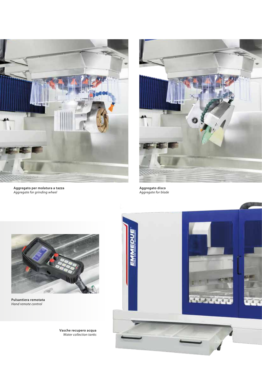

**Aggregato per molatura a tazza** *Aggregate for grinding wheel*



**Aggregato disco** *Aggregate for blade*



**Pulsantiera remotata** *Hand remote control*



**Vasche recupero acqua** *Water collection tanks*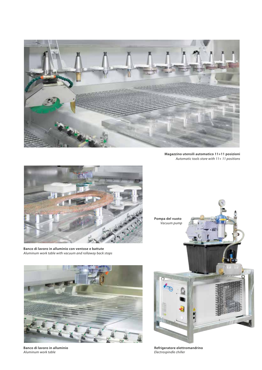

**Magazzino utensili automatico 11+11 posizioni** *Automatic tools store with 11+ 11 positions*



**Banco di lavoro in alluminio con ventose e battute** *Aluminum work table with vacuum and rollaway back stops*



**Banco di lavoro in alluminio** *Aluminum work table*



**Refrigeratore elettromandrino** *Electrospindle chiller*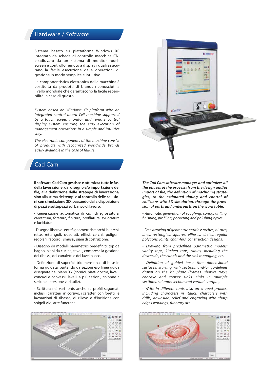### Hardware / *Software*

Sistema basato su piattaforma Windows XP integrato da scheda di controllo macchina CNI coadiuvato da un sistema di monitor touch screen e controllo remoto a display i quali assicurano la facile esecuzione delle operazioni di gestione in modo semplice e intuitivo.

La componentistica elettronica della macchina è costituita da prodotti di brands riconosciuti a livello mondiale che garantiscono la facile reperibilità in caso di guasto.

*System based on Windows XP platform with an integrated control board CNI machine supported by a touch screen monitor and remote control display system ensuring the easy execution of management operations in a simple and intuitive way.*

*The electronic components of the machine consist of products with recognized worldwide brands easily available in the case of failure.*

## Cad Cam

**Il software Cad Cam gestisce e ottimizza tutte le fasi della lavorazione: dal disegno e/o importazione dei**  file, alla definizione delle strategie di lavorazione, **sino alla stima dei tempi e al controllo delle collisioni con simulazione 3D, passando dalla disposizione di pezzi e sottopezzi sul banco di lavoro.**

- Generazione automatica di cicli di sgrossatura, carotatura, foratura, finitura, profilatura, svuotatura e lucidatura.

- Disegno libero di entità geometriche: archi, bi-archi, rette, rettangoli, quadrati, ellissi, cerchi, poligoni regolari, raccordi, smussi, piani di costruzione.

- Disegno da modelli parametrici predefiniti: top da bagno, piani da cucina, tavoli, compresa la gestione dei ribassi, dei canaletti e del lavello, ecc.

- Definizione di superfici tridimensionali di base in forma guidata, partendo da sezioni e/o linee guida disegnate nel piano XY (cornici, piatti doccia, lavelli concavi e convessi, lavelli a più sezioni, colonne a sezione e torsione variabile).

- Scrittura nei vari fonts anche su profili sagomati inclusi i caratteri in corsivo, i caratteri con foretti, le lavorazioni di ribasso, di rilievo e d'incisione con spigoli vivi, arte funeraria.





*The Cad Cam software manages and optimizes all the phases of the process: from the design and/or*  import of file, the definition of machining strate*gies, to the estimated timing and control of collisions with 3D simulation, through the provision of parts and underparts on the work table.*

*- Automatic generation of roughing, coring, drilling, nishing, proling, pocketing and polishing cycles.*

*- Free drawing of geometric entities: arches, bi-arcs, lines, rectangles, squares, ellipses, circles, regular polygons, joints, chamfers, construction designs.*

*- Drawing from predened parametric models: vanity tops, kitchen tops, tables, including the downside, the canals and the sink managing, etc.*

*- Denition of guided basic three-dimensional surfaces, starting with sections and/or guidelines drawn on the XY plane (frames, shower trays, concave and convex sinks, sinks in multiple sections, columns section and variable torque).*

*- Write in different fonts also on shaped profiles, including characters in italics, characters with drills, downside, relief and engraving with sharp edges workings, funerary art.*

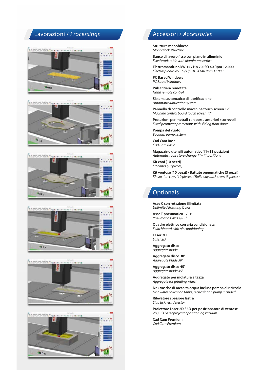# Lavorazioni / *Processings*













# Accessori / *Accessories*

**Struttura monoblocco**  *MonoBlock structure*

**Banco di lavoro fisso con piano in alluminio** *Fixed work table with aluminum surface*

**Elettromandrino kW 15 / Hp 20 ISO 40 Rpm 12.000** *Electrospindle kW 15 / Hp 20 ISO 40 Rpm 12.000*

**PC Based Windows**  *PC Based Windows*

**Pulsantiera remotata** *Hand remote control*

**Sistema automatico di lubrificazione** *Automatic lubrication system*

**Pannello di controllo macchina touch screen 17"** *Machine control board touch screen 17"*

**Protezioni perimetrali con porte anteriori scorrevoli**  *Fixed perimeter protections with sliding front doors*

**Pompa del vuoto**  *Vacuum pump system*

**Cad Cam Base** *Cad Cam Basic*

**Magazzino utensili automatico 11+11 posizioni** *Automatic tools store change 11+11 positions*

**Kit coni (10 pezzi)**  *Kit cones (10 pieces)*

**Kit ventose (10 pezzi) / Battute pneumatiche (3 pezzi)** *Kit suction cups (10 pieces) / Rollaway back stops (3 pieces)*

# **Optionals**

**Asse C con rotazione illimitata**  *Unlimited Rotating C axis*

**Asse T pneumatico +/- 1°**  *Pneumatic T axis +/- 1°*

**Quadro elettrico con aria condizionata** *Switchboard with air conditioning*

**Laser 2D** *Laser 2D*

**Aggregato disco**  *Aggregate blade* 

**Aggregato disco 30°**  *Aggregate blade 30°*

**Aggregato disco 45°**  *Aggregate blade 45°*

**Aggregato per molatura a tazza**  *Aggregate for grinding wheel* 

**Nr.2 vasche di raccolta acqua inclusa pompa di ricircolo**  *Nr.2 water collection tanks, recirculation pump included* 

**Rilevatore spessore lastra**  *Slab tickness detector*

**Proiettore Laser 2D / 3D per posizionatore di ventose**  *2D / 3D Laser projector positioning vacuum*

**Cad Cam Premium** *Cad Cam Premium*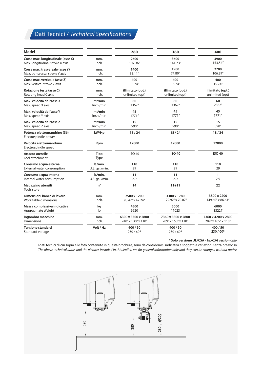# **Dati Tecnici / Technical Specifications**

| Model                                                |                | 260                | 360                | 400                |
|------------------------------------------------------|----------------|--------------------|--------------------|--------------------|
| Corsa max. longitudinale (asse X)                    | mm.            | 2600               | 3600               | 3900               |
| Max. longitudinal stroke X axis                      | Inch.          | 102.36"            | 141.73"            | 153.54"            |
| Corsa max. trasversale (asse Y)                      | mm.            | 1400               | 1900               | 2700               |
| Max, transversal stroke Y axis                       | Inch.          | 55.11"             | 74.80"             | 106.29"            |
| Corsa max. verticale (asse Z)                        | mm.            | 400                | 400                | 400                |
| Max. vertical stroke Z axis                          | Inch.          | 15.74"             | 15.74"             | 15.74"             |
| Rotazione testa (asse C)                             | mm.            | illimitato (opt.)  | illimitato (opt.)  | illimitato (opt.)  |
| Rotating head C axis                                 | Inch.          | unlimited (opt)    | unlimited (opt)    | unlimited (opt)    |
| Max. velocità dell'asse X                            | mt/min         | 60                 | 60                 | 60                 |
| Max. speed X axis                                    | Inch./min      | 2362"              | 2362"              | 2362"              |
| Max. velocità dell'asse Y                            | mt/min         | 45                 | 45                 | 45                 |
| Max. speed Y axis                                    | Inch./min      | 1771''             | 1771''             | 1771''             |
| Max. velocità dell'asse Z                            | mt/min         | 15                 | 15                 | 15                 |
| Max. speed Z axis                                    | Inch./min      | 590"               | 590"               | 590"               |
| Potenza elettromandrino (S6)<br>Electrospindle power | kW/Hp          | 18/24              | 18/24              | 18/24              |
| Velocità elettromandrino<br>Electrospindle speed     | Rpm            | 12000              | 12000              | 12000              |
| Attacco utensile<br>Tool attachment                  | Tipo<br>Type   | <b>ISO 40</b>      | <b>ISO 40</b>      | <b>ISO 40</b>      |
| Consumo acqua esterna                                | lt./min.       | 110                | 110                | 110                |
| External water consumption                           | U.S. gal./min. | 29                 | 29                 | 29                 |
| Consumo acqua interna                                | lt./min.       | 11                 | 11                 | 11                 |
| Internal water consumption                           | U.S. gal./min. | 2.9                | 2.9                | 2.9                |
| Magazzino utensili<br><b>Tools store</b>             | $n^{\circ}$    | 14                 | $11 + 11$          | 22                 |
| Dimensioni banco di lavoro                           | mm.            | 2500 x 1200        | 3300 x 1780        | 3800 x 2200        |
| Work table dimensions                                | Inch.          | 98.42" x 47.24"    | 129.92" x 70.07"   | 149.60" x 86.61"   |
| Massa complessiva indicativa                         | kg             | 4500               | 5000               | 6000               |
| Approximate Weight                                   | Ib             | 9920               | 11023              | 13227              |
| Ingombro macchina                                    | mm.            | 6300 x 3300 x 2800 | 7360 x 3800 x 2800 | 7360 x 4200 x 2800 |
| <b>Dimensions</b>                                    | Inch.          | 248" x 130" x 110" | 289" x 150" x 110" | 289" x 165" x 110" |
| <b>Tensione standard</b>                             | Volt / Hz      | 400/50             | 400/50             | 400/50             |
| Standard voltage                                     |                | $230/60*$          | 230/60*            | 230/60*            |

**\* Solo versione UL/CSA** - *UL/CSA version only.*

I dati tecnici di cui sopra e le foto contenute in questa brochure, sono da considerarsi indicativi e soggetti a variazioni senza preavviso. The above technical datas and the pictures included in this leaflet, are for general information only and they can be changed without notice.

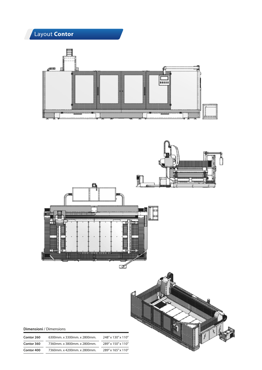



### **Dimensioni** / Dimensions

| Contor 260 | 6300mm. x 3300mm. x 2800mm. | 248" x 130" x 110" |
|------------|-----------------------------|--------------------|
| Contor 360 | 7360mm. x 3800mm. x 2800mm. | 289" x 150" x 110" |
| Contor 400 | 7360mm. x 4200mm. x 2800mm. | 289" x 165" x 110" |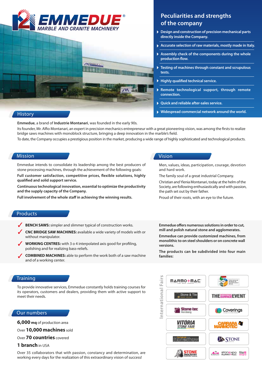

### **History**

# **Peculiarities and strengths Peculiarities and strengths of the company of the company**

- **Design and construction of precision mechanical parts directly inside the Company.**
- **Accurate selection of raw materials, mostly made in Italy.**
- **Assembly check of the components during the whole**  production flow.
- **Testing of machines through constant and scrupulous tests.**
- **Highly qualified technical service.**
- **Remote technological support, through remote connection.**
- **Quick and reliable after-sales service.**
- **Widespread commercial network around the world.**

**Emmedue**, a brand of **Industrie Montanari**, was founded in the early 90s. Its founder, Mr. Alfio Montanari, an expert in precision mechanics entrepreneur with a great pioneering vision, was among the firsts to realize bridge saws machines with monoblock structure, bringing a deep innovation in the marble's field. To date, the Company occupies a prestigious position in the market, producing a wide range of highly sophisticated and technological products.

### Mission

Emmedue intends to consolidate its leadership among the best producers of stone processing machines, through the achievement of the following goals:

Full customer satisfaction, competitive prices, flexible solutions, highly qualified and solid support service.

**Continuous technological innovation, essential to optimize the productivity and the supply capacity of the Company.**

Full involvement of the whole staff in achieving the winning results.

### Vision

Men, values, ideas, participation, courage, devotion and hard work.

The family soul of a great industrial Company.

Christian and Ylenia Montanari, today at the helm of the Society, are following enthusiastically and with passion, the path set out by their father.

Proud of their roots, with an eye to the future.

### Products

- **BENCH SAWS:** simpler and slimmer typical of construction works. ✓
- **CNC BRIDGE SAW MACHINES:** available a wide variety of models with or without manipulator. ✓
- ◆ **WORKING CENTRES:** with 3 o 4 interpolated axis good for profiling, polishing and for realizing bass-reliefs.
- **COMBINED MACHINES:** able to perform the work both of a saw machine and of a working center. ✓

Emmedue offers numerous solutions in order to cut, **mill and polish natural stone and agglomerates.**

**Emmedue can provide customized machines, from monolithic to on steel shoulders or on concrete wall versions.**

**The products can be subdivided into four main families:**

### **Training**

To provide innovative services, Emmedue constantly holds training courses for its operators, customers and dealers, providing them with active support to meet their needs.

### Our numbers

**6,000 mq** of production area

Over **10,000 machines** sold

Over **70 countries** covered

### **1 branch** in USA

Over 35 collaborators that with passion, constancy and determination, are working every days for the realization of this extraordinary vision of success!